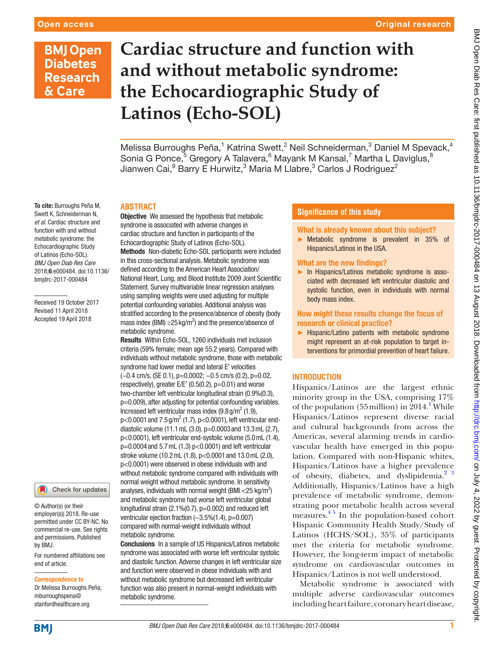#### Original research

# **BMJ Open Diabetes Research** & Care

To cite: Burroughs Peña M, Swett K, Schneiderman N, *et al*. Cardiac structure and function with and without metabolic syndrome: the Echocardiographic Study of Latinos (Echo-SOL). *BMJ Open Diab Res Care* 2018;6:e000484. doi:10.1136/ bmjdrc-2017-000484

Received 19 October 2017 Revised 11 April 2018 Accepted 19 April 2018

# **Cardiac structure and function with and without metabolic syndrome: the Echocardiographic Study of Latinos (Echo-SOL)**

Melissa Burroughs Peña,<sup>1</sup> Katrina Swett,<sup>2</sup> Neil Schneiderman,<sup>3</sup> Daniel M Spevack,<sup>4</sup> Sonia G Ponce, $^5$  Gregory A Talavera, $^6$  Mayank M Kansal, $^7$  Martha L Daviglus, $^8$ Jianwen Cai, $^9$  Barry E Hurwitz, $^3$  Maria M Llabre, $^3$  Carlos J Rodriguez $^2$ 

#### **Abstract**

**Objective** We assessed the hypothesis that metabolic syndrome is associated with adverse changes in cardiac structure and function in participants of the Echocardiographic Study of Latinos (Echo-SOL). Methods Non-diabetic Echo-SOL participants were included in this cross-sectional analysis. Metabolic syndrome was defined according to the American Heart Association/ National Heart, Lung, and Blood Institute 2009 Joint Scientific Statement. Survey multivariable linear regression analyses using sampling weights were used adjusting for multiple potential confounding variables. Additional analysis was stratified according to the presence/absence of obesity (body mass index (BMI)  $\geq$ 25 kg/m<sup>2</sup>) and the presence/absence of metabolic syndrome.

Results Within Echo-SOL, 1260 individuals met inclusion criteria (59% female; mean age 55.2 years). Compared with individuals without metabolic syndrome, those with metabolic syndrome had lower medial and lateral E′ velocities (−0.4 cm/s, (SE 0.1), p=0.0002; −0.5 cm/s (0.2), p=0.02, respectively), greater E/E' (0.5(0.2), p=0.01) and worse two-chamber left ventricular longitudinal strain (0.9%(0.3), p=0.009), after adjusting for potential confounding variables. Increased left ventricular mass index  $(9.8 \text{ g/m}^2 \text{ (1.9)}$ , p<0.0001 and 7.5 g/m<sup>2</sup> (1.7), p<0.0001), left ventricular enddiastolic volume (11.1mL (3.0), p=0.0003and 13.3mL (2.7), p<0.0001), left ventricular end-systolic volume (5.0mL (1.4), p=0.0004and 5.7mL (1.3) p<0.0001) and left ventricular stroke volume (10.2mL (1.8), p<0.0001and 13.0mL (2.0), p<0.0001) were observed in obese individuals with and without metabolic syndrome compared with individuals with normal weight without metabolic syndrome. In sensitivity analyses, individuals with normal weight (BMI <  $25$  kg/m<sup>2</sup>) and metabolic syndrome had worse left ventricular global longitudinal strain (2.1%(0.7), p=0.002) and reduced left ventricular ejection fraction (−3.5%(1.4), p=0.007) compared with normal-weight individuals without metabolic syndrome.

Conclusions In a sample of US Hispanics/Latinos metabolic syndrome was associated with worse left ventricular systolic and diastolic function. Adverse changes in left ventricular size and function were observed in obese individuals with and without metabolic syndrome but decreased left ventricular function was also present in normal-weight individuals with metabolic syndrome.

#### **Significance of this study**

- What is already known about this subject?
- ► Metabolic syndrome is prevalent in 35% of Hispanics/Latinos in the USA.

#### What are the new findings?

► In Hispanics/Latinos metabolic syndrome is associated with decreased left ventricular diastolic and systolic function, even in individuals with normal body mass index.

How might these results change the focus of research or clinical practice?

► Hispanic/Latino patients with metabolic syndrome might represent an at-risk population to target interventions for primordial prevention of heart failure.

#### **INTRODUCTION**

Hispanics/Latinos are the largest ethnic minority group in the USA, comprising 17% of the population  $(55$  million) in  $2014.<sup>1</sup>$  While Hispanics/Latinos represent diverse racial and cultural backgrounds from across the Americas, several alarming trends in cardiovascular health have emerged in this population. Compared with non-Hispanic whites, Hispanics/Latinos have a higher prevalence of obesity, diabetes, and dyslipidemia.<sup>2</sup><sup>3</sup> Additionally, Hispanics/Latinos have a high prevalence of metabolic syndrome, demonstrating poor metabolic health across several measures.<sup>45</sup> In the population-based cohort Hispanic Community Health Study/Study of Latinos (HCHS/SOL), 35% of participants met the criteria for metabolic syndrome. However, the long-term impact of metabolic syndrome on cardiovascular outcomes in Hispanics/Latinos is not well understood.

Metabolic syndrome is associated with multiple adverse cardiovascular outcomes including heart failure, coronary heart disease,

## **BMI**

For numbered affiliations see

Check for updates

end of article.

by BMJ.

Correspondence to Dr Melissa Burroughs Peña; mburroughspena@ stanfordhealthcare.org

© Author(s) (or their employer(s)) 2018. Re-use permitted under CC BY-NC. No commercial re-use. See rights and permissions. Published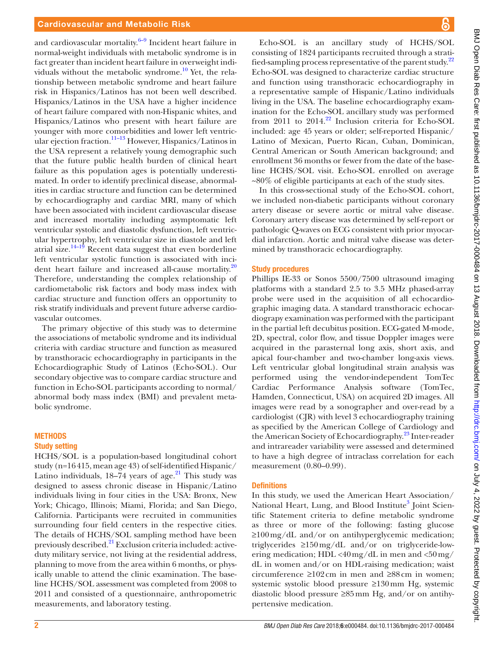and cardiovascular mortality. $6-9$  Incident heart failure in normal-weight individuals with metabolic syndrome is in fact greater than incident heart failure in overweight individuals without the metabolic syndrome.<sup>10</sup> Yet, the relationship between metabolic syndrome and heart failure risk in Hispanics/Latinos has not been well described. Hispanics/Latinos in the USA have a higher incidence of heart failure compared with non-Hispanic whites, and Hispanics/Latinos who present with heart failure are younger with more comorbidities and lower left ventricular ejection fraction.<sup>11-13</sup> However, Hispanics/Latinos in the USA represent a relatively young demographic such that the future public health burden of clinical heart failure as this population ages is potentially underestimated. In order to identify preclinical disease, abnormalities in cardiac structure and function can be determined by echocardiography and cardiac MRI, many of which have been associated with incident cardiovascular disease and increased mortality including asymptomatic left ventricular systolic and diastolic dysfunction, left ventricular hypertrophy, left ventricular size in diastole and left atrial size.<sup>14–19</sup> Recent data suggest that even borderline left ventricular systolic function is associated with inci-dent heart failure and increased all-cause mortality.<sup>[20](#page-9-0)</sup> Therefore, understanding the complex relationship of cardiometabolic risk factors and body mass index with cardiac structure and function offers an opportunity to risk stratify individuals and prevent future adverse cardiovascular outcomes.

The primary objective of this study was to determine the associations of metabolic syndrome and its individual criteria with cardiac structure and function as measured by transthoracic echocardiography in participants in the Echocardiographic Study of Latinos (Echo-SOL). Our secondary objective was to compare cardiac structure and function in Echo-SOL participants according to normal/ abnormal body mass index (BMI) and prevalent metabolic syndrome.

## **METHODS**

### Study setting

HCHS/SOL is a population-based longitudinal cohort study (n=16415, mean age 43) of self-identified Hispanic/ Latino individuals,  $18-\overline{7}4$  years of age.<sup>[21](#page-9-1)</sup> This study was designed to assess chronic disease in Hispanic/Latino individuals living in four cities in the USA: Bronx, New York; Chicago, Illinois; Miami, Florida; and San Diego, California. Participants were recruited in communities surrounding four field centers in the respective cities. The details of HCHS/SOL sampling method have been previously described[.21](#page-9-1) Exclusion criteria included: activeduty military service, not living at the residential address, planning to move from the area within 6 months, or physically unable to attend the clinic examination. The baseline HCHS/SOL assessment was completed from 2008 to 2011 and consisted of a questionnaire, anthropometric measurements, and laboratory testing.

Echo-SOL was designed to characterize cardiac structure and function using transthoracic echocardiography in a representative sample of Hispanic/Latino individuals living in the USA. The baseline echocardiography examination for the Echo-SOL ancillary study was performed from 2011 to 2014.<sup>22</sup> Inclusion criteria for Echo-SOL included: age 45 years or older; self-reported Hispanic/ Latino of Mexican, Puerto Rican, Cuban, Dominican, Central American or South American background; and enrollment 36 months or fewer from the date of the baseline HCHS/SOL visit. Echo-SOL enrolled on average  $~80\%$  of eligible participants at each of the study sites.

Echo-SOL is an ancillary study of HCHS/SOL consisting of 1824 participants recruited through a strati-fied-sampling process representative of the parent study.<sup>[22](#page-9-2)</sup>

In this cross-sectional study of the Echo-SOL cohort, we included non-diabetic participants without coronary artery disease or severe aortic or mitral valve disease. Coronary artery disease was determined by self-report or pathologic Q-waves on ECG consistent with prior myocardial infarction. Aortic and mitral valve disease was determined by transthoracic echocardiography.

#### Study procedures

Phillips IE-33 or Sonos 5500/7500 ultrasound imaging platforms with a standard 2.5 to 3.5 MHz phased-array probe were used in the acquisition of all echocardiographic imaging data. A standard transthoracic echocardiograpy examination was performed with the participant in the partial left decubitus position. ECG-gated M-mode, 2D, spectral, color flow, and tissue Doppler images were acquired in the parasternal long axis, short axis, and apical four-chamber and two-chamber long-axis views. Left ventricular global longitudinal strain analysis was performed using the vendor-independent TomTec Cardiac Performance Analysis software (TomTec, Hamden, Connecticut, USA) on acquired 2D images. All images were read by a sonographer and over-read by a cardiologist (CJR) with level 3 echocardiography training as specified by the American College of Cardiology and the American Society of Echocardiography.<sup>23</sup> Inter-reader and intrareader variability were assessed and determined to have a high degree of intraclass correlation for each measurement (0.80–0.99).

#### **Definitions**

In this study, we used the American Heart Association/ National Heart, Lung, and Blood Institute<sup>[3](#page-8-7)</sup> Joint Scientific Statement criteria to define metabolic syndrome as three or more of the following: fasting glucose ≥100mg/dL and/or on antihyperglycemic medication; triglycerides ≥150mg/dL and/or on triglyceride-lowering medication; HDL <40 mg/dL in men and  $\langle 50 \text{mg}/$ dL in women and/or on HDL-raising medication; waist circumference  $\geq 102$  cm in men and  $\geq 88$  cm in women; systemic systolic blood pressure ≥130mm Hg, systemic diastolic blood pressure ≥85mm Hg, and/or on antihypertensive medication.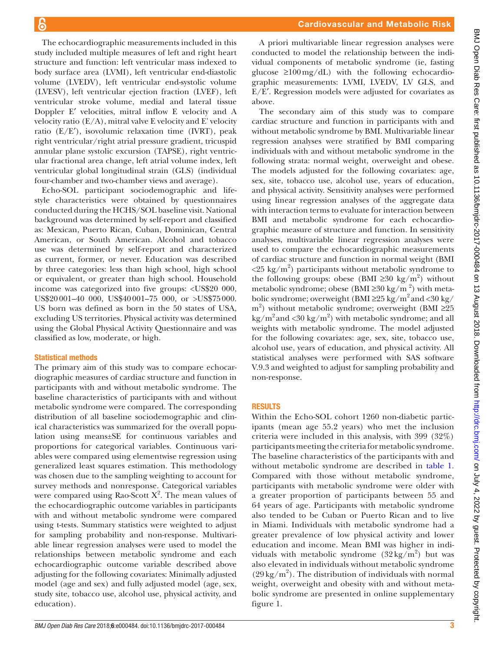A priori multivariable linear regression analyses were

The echocardiographic measurements included in this study included multiple measures of left and right heart structure and function: left ventricular mass indexed to body surface area (LVMI), left ventricular end-diastolic volume (LVEDV), left ventricular end-systolic volume (LVESV), left ventricular ejection fraction (LVEF), left ventricular stroke volume, medial and lateral tissue Doppler E′ velocities, mitral inflow E velocity and A velocity ratio  $(E/A)$ , mitral valve E velocity and E' velocity ratio  $(E/E')$ , isovolumic relaxation time (IVRT), peak right ventricular/right atrial pressure gradient, tricuspid annular plane systolic excursion (TAPSE), right ventricular fractional area change, left atrial volume index, left ventricular global longitudinal strain (GLS) (individual four-chamber and two-chamber views and average).

Echo-SOL participant sociodemographic and lifestyle characteristics were obtained by questionnaires conducted during the HCHS/SOL baseline visit. National background was determined by self-report and classified as: Mexican, Puerto Rican, Cuban, Dominican, Central American, or South American. Alcohol and tobacco use was determined by self-report and characterized as current, former, or never. Education was described by three categories: less than high school, high school or equivalent, or greater than high school. Household income was categorized into five groups: <US\$20 000, US\$20001–40 000, US\$40001–75 000, or >US\$75000. US born was defined as born in the 50 states of USA, excluding US territories. Physical activity was determined using the Global Physical Activity Questionnaire and was classified as low, moderate, or high.

#### Statistical methods

The primary aim of this study was to compare echocardiographic measures of cardiac structure and function in participants with and without metabolic syndrome. The baseline characteristics of participants with and without metabolic syndrome were compared. The corresponding distribution of all baseline sociodemographic and clinical characteristics was summarized for the overall population using means±SE for continuous variables and proportions for categorical variables. Continuous variables were compared using elementwise regression using generalized least squares estimation. This methodology was chosen due to the sampling weighting to account for survey methods and nonresponse. Categorical variables were compared using Rao-Scott  $X^2$ . The mean values of the echocardiographic outcome variables in participants with and without metabolic syndrome were compared using t-tests. Summary statistics were weighted to adjust for sampling probability and non-response. Multivariable linear regression analyses were used to model the relationships between metabolic syndrome and each echocardiographic outcome variable described above adjusting for the following covariates: Minimally adjusted model (age and sex) and fully adjusted model (age, sex, study site, tobacco use, alcohol use, physical activity, and education).

conducted to model the relationship between the individual components of metabolic syndrome (ie, fasting glucose  $\geq 100 \,\text{mg/dL}$  with the following echocardiographic measurements: LVMI, LVEDV, LV GLS, and E/E′. Regression models were adjusted for covariates as above. The secondary aim of this study was to compare

cardiac structure and function in participants with and without metabolic syndrome by BMI. Multivariable linear regression analyses were stratified by BMI comparing individuals with and without metabolic syndrome in the following strata: normal weight, overweight and obese. The models adjusted for the following covariates: age, sex, site, tobacco use, alcohol use, years of education, and physical activity. Sensitivity analyses were performed using linear regression analyses of the aggregate data with interaction terms to evaluate for interaction between BMI and metabolic syndrome for each echocardiographic measure of structure and function. In sensitivity analyses, multivariable linear regression analyses were used to compare the echocardiographic measurements of cardiac structure and function in normal weight (BMI  $\langle 25 \text{ kg/m}^2 \rangle$  participants without metabolic syndrome to the following groups: obese (BMI ≥30 kg/m<sup>2</sup>) without metabolic syndrome; obese (BMI ≥30 kg/m<sup>2</sup>) with metabolic syndrome; overweight (BMI ≥25 kg/m<sup>2</sup> and <30 kg/ m<sup>2</sup>) without metabolic syndrome; overweight (BMI ≥25  $\text{kg/m}^2$  and <30 kg/m<sup>2</sup>) with metabolic syndrome; and all weights with metabolic syndrome. The model adjusted for the following covariates: age, sex, site, tobacco use, alcohol use, years of education, and physical activity. All statistical analyses were performed with SAS software V.9.3 and weighted to adjust for sampling probability and non-response.

## **RESULTS**

Within the Echo-SOL cohort 1260 non-diabetic participants (mean age 55.2 years) who met the inclusion criteria were included in this analysis, with 399 (32%) participants meeting the criteria for metabolic syndrome. The baseline characteristics of the participants with and without metabolic syndrome are described in [table](#page-3-0) 1. Compared with those without metabolic syndrome, participants with metabolic syndrome were older with a greater proportion of participants between 55 and 64 years of age. Participants with metabolic syndrome also tended to be Cuban or Puerto Rican and to live in Miami. Individuals with metabolic syndrome had a greater prevalence of low physical activity and lower education and income. Mean BMI was higher in individuals with metabolic syndrome  $(32 \text{ kg/m}^2)$  but was also elevated in individuals without metabolic syndrome  $(29 \text{ kg/m}^2)$ . The distribution of individuals with normal weight, overweight and obesity with and without metabolic syndrome are presented in online [supplementary](https://dx.doi.org/10.1136/bmjdrc-2017-000484) [figure 1](https://dx.doi.org/10.1136/bmjdrc-2017-000484).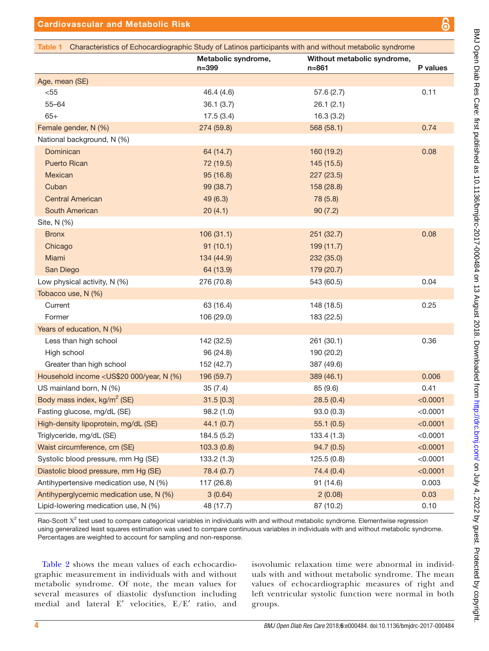| W.<br>۰.<br>_ |
|---------------|
|               |

<span id="page-3-0"></span>

| Table 1                                                                                                                   |                                  | Characteristics of Echocardiographic Study of Latinos participants with and without metabolic syndrome |          |
|---------------------------------------------------------------------------------------------------------------------------|----------------------------------|--------------------------------------------------------------------------------------------------------|----------|
|                                                                                                                           | Metabolic syndrome,<br>$n = 399$ | Without metabolic syndrome,<br>$n = 861$                                                               | P values |
| Age, mean (SE)                                                                                                            |                                  |                                                                                                        |          |
| < 55                                                                                                                      | 46.4 (4.6)                       | 57.6(2.7)                                                                                              | 0.11     |
| $55 - 64$                                                                                                                 | 36.1(3.7)                        | 26.1(2.1)                                                                                              |          |
| $65+$                                                                                                                     | 17.5(3.4)                        | 16.3(3.2)                                                                                              |          |
| Female gender, N (%)                                                                                                      | 274 (59.8)                       | 568 (58.1)                                                                                             | 0.74     |
| National background, N (%)                                                                                                |                                  |                                                                                                        |          |
| Dominican                                                                                                                 | 64 (14.7)                        | 160 (19.2)                                                                                             | 0.08     |
| <b>Puerto Rican</b>                                                                                                       | 72 (19.5)                        | 145 (15.5)                                                                                             |          |
| Mexican                                                                                                                   | 95 (16.8)                        | 227(23.5)                                                                                              |          |
| Cuban                                                                                                                     | 99 (38.7)                        | 158 (28.8)                                                                                             |          |
| <b>Central American</b>                                                                                                   | 49 (6.3)                         | 78 (5.8)                                                                                               |          |
| South American                                                                                                            | 20(4.1)                          | 90(7.2)                                                                                                |          |
| Site, N (%)                                                                                                               |                                  |                                                                                                        |          |
| <b>Bronx</b>                                                                                                              | 106(31.1)                        | 251 (32.7)                                                                                             | 0.08     |
| Chicago                                                                                                                   | 91(10.1)                         | 199 (11.7)                                                                                             |          |
| Miami                                                                                                                     | 134 (44.9)                       | 232(35.0)                                                                                              |          |
| San Diego                                                                                                                 | 64 (13.9)                        | 179 (20.7)                                                                                             |          |
| Low physical activity, N (%)                                                                                              | 276 (70.8)                       | 543 (60.5)                                                                                             | 0.04     |
| Tobacco use, N (%)                                                                                                        |                                  |                                                                                                        |          |
| Current                                                                                                                   | 63 (16.4)                        | 148 (18.5)                                                                                             | 0.25     |
| Former                                                                                                                    | 106 (29.0)                       | 183 (22.5)                                                                                             |          |
| Years of education, N (%)                                                                                                 |                                  |                                                                                                        |          |
| Less than high school                                                                                                     | 142 (32.5)                       | 261 (30.1)                                                                                             | 0.36     |
| High school                                                                                                               | 96 (24.8)                        | 190 (20.2)                                                                                             |          |
| Greater than high school                                                                                                  | 152 (42.7)                       | 387 (49.6)                                                                                             |          |
| Household income <us\$20 (%)<="" 000="" n="" td="" year,=""><td>196 (59.7)</td><td>389 (46.1)</td><td>0.006</td></us\$20> | 196 (59.7)                       | 389 (46.1)                                                                                             | 0.006    |
| US mainland born, N (%)                                                                                                   | 35(7.4)                          | 85 (9.6)                                                                                               | 0.41     |
| Body mass index, kg/m <sup>2</sup> (SE)                                                                                   | $31.5$ [0.3]                     | 28.5(0.4)                                                                                              | < 0.0001 |
| Fasting glucose, mg/dL (SE)                                                                                               | 98.2 (1.0)                       | 93.0(0.3)                                                                                              | < 0.0001 |
| High-density lipoprotein, mg/dL (SE)                                                                                      | 44.1 (0.7)                       | 55.1(0.5)                                                                                              | < 0.0001 |
| Triglyceride, mg/dL (SE)                                                                                                  | 184.5 (5.2)                      | 133.4 (1.3)                                                                                            | < 0.0001 |
| Waist circumference, cm (SE)                                                                                              | 103.3(0.8)                       | 94.7(0.5)                                                                                              | < 0.0001 |
| Systolic blood pressure, mm Hg (SE)                                                                                       | 133.2(1.3)                       | 125.5(0.8)                                                                                             | < 0.0001 |
| Diastolic blood pressure, mm Hg (SE)                                                                                      | 78.4 (0.7)                       | 74.4(0.4)                                                                                              | < 0.0001 |
| Antihypertensive medication use, N (%)                                                                                    | 117 (26.8)                       | 91 (14.6)                                                                                              | 0.003    |
| Antihyperglycemic medication use, N (%)                                                                                   | 3(0.64)                          | 2(0.08)                                                                                                | 0.03     |
| Lipid-lowering medication use, N (%)                                                                                      | 48 (17.7)                        | 87 (10.2)                                                                                              | 0.10     |

Rao-Scott  $X^2$  test used to compare categorical variables in individuals with and without metabolic syndrome. Elementwise regression using generalized least squares estimation was used to compare continuous variables in individuals with and without metabolic syndrome. Percentages are weighted to account for sampling and non-response.

[Table](#page-4-0) 2 shows the mean values of each echocardiographic measurement in individuals with and without metabolic syndrome. Of note, the mean values for several measures of diastolic dysfunction including medial and lateral E′ velocities, E/E′ ratio, and

isovolumic relaxation time were abnormal in individuals with and without metabolic syndrome. The mean values of echocardiographic measures of right and left ventricular systolic function were normal in both groups.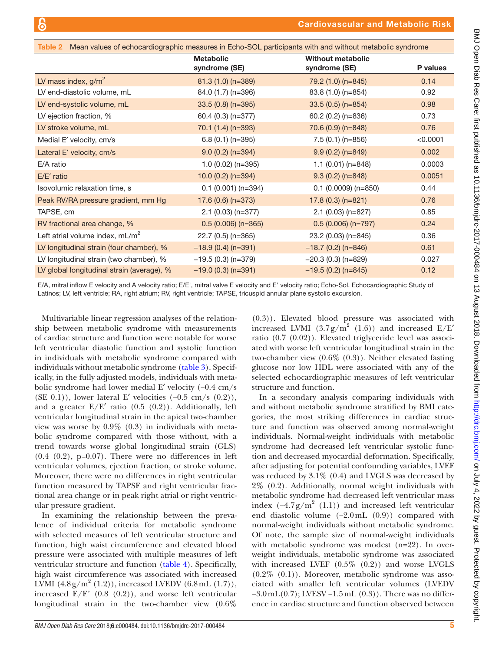<span id="page-4-0"></span>

| Table 2 Mean values of echocardiographic measures in Echo-SOL participants with and without metabolic syndrome |                                   |                                           |          |
|----------------------------------------------------------------------------------------------------------------|-----------------------------------|-------------------------------------------|----------|
|                                                                                                                | <b>Metabolic</b><br>syndrome (SE) | <b>Without metabolic</b><br>syndrome (SE) | P values |
| LV mass index, $g/m^2$                                                                                         | 81.3 (1.0) (n=389)                | 79.2 (1.0) (n=845)                        | 0.14     |
| LV end-diastolic volume, mL                                                                                    | 84.0 (1.7) (n=396)                | 83.8 (1.0) (n=854)                        | 0.92     |
| LV end-systolic volume, mL                                                                                     | $33.5(0.8)(n=395)$                | $33.5(0.5)(n=854)$                        | 0.98     |
| LV ejection fraction, %                                                                                        | 60.4 (0.3) (n=377)                | 60.2 (0.2) (n=836)                        | 0.73     |
| LV stroke volume, mL                                                                                           | $70.1$ (1.4) (n=393)              | 70.6 (0.9) (n=848)                        | 0.76     |
| Medial E' velocity, cm/s                                                                                       | $6.8(0.1)(n=395)$                 | $7.5(0.1)(n=856)$                         | < 0.0001 |
| Lateral E' velocity, cm/s                                                                                      | $9.0(0.2)(n=394)$                 | $9.9(0.2)(n=849)$                         | 0.002    |
| E/A ratio                                                                                                      | $1.0(0.02)(n=395)$                | $1.1(0.01)(n=848)$                        | 0.0003   |
| E/E' ratio                                                                                                     | $10.0(0.2)(n=394)$                | $9.3(0.2)(n=848)$                         | 0.0051   |
| Isovolumic relaxation time, s                                                                                  | $0.1(0.001)(n=394)$               | $0.1$ (0.0009) (n=850)                    | 0.44     |
| Peak RV/RA pressure gradient, mm Hg                                                                            | $17.6(0.6)(n=373)$                | $17.8(0.3)(n=821)$                        | 0.76     |
| TAPSE, cm                                                                                                      | $2.1$ (0.03) (n=377)              | $2.1$ (0.03) (n=827)                      | 0.85     |
| RV fractional area change, %                                                                                   | $0.5(0.006)(n=365)$               | $0.5(0.006)(n=797)$                       | 0.24     |
| Left atrial volume index, $mL/m^2$                                                                             | 22.7 (0.5) (n=365)                | 23.2 (0.03) (n=845)                       | 0.36     |
| LV longitudinal strain (four chamber), %                                                                       | $-18.9$ (0.4) (n=391)             | $-18.7(0.2)(n=846)$                       | 0.61     |
| LV longitudinal strain (two chamber), %                                                                        | $-19.5(0.3)(n=379)$               | $-20.3$ (0.3) (n=829)                     | 0.027    |
| LV global longitudinal strain (average), %                                                                     | $-19.0$ (0.3) (n=391)             | $-19.5(0.2)(n=845)$                       | 0.12     |

E/A, mitral inflow E velocity and A velocity ratio; E/E', mitral valve E velocity and E' velocity ratio; Echo-Sol, Echocardiographic Study of Latinos; LV, left ventricle; RA, right atrium; RV, right ventricle; TAPSE, tricuspid annular plane systolic excursion.

Multivariable linear regression analyses of the relationship between metabolic syndrome with measurements of cardiac structure and function were notable for worse left ventricular diastolic function and systolic function in individuals with metabolic syndrome compared with individuals without metabolic syndrome [\(table](#page-5-0) 3). Specifically, in the fully adjusted models, individuals with metabolic syndrome had lower medial E′ velocity (−0.4 cm/s (SE 0.1)), lower lateral E′ velocities  $(-0.5 \text{ cm/s } (0.2))$ , and a greater  $E/E'$  ratio  $(0.5 (0.2))$ . Additionally, left ventricular longitudinal strain in the apical two-chamber view was worse by 0.9% (0.3) in individuals with metabolic syndrome compared with those without, with a trend towards worse global longitudinal strain (GLS)  $(0.4 \ (0.2), \ p=0.07)$ . There were no differences in left ventricular volumes, ejection fraction, or stroke volume. Moreover, there were no differences in right ventricular function measured by TAPSE and right ventricular fractional area change or in peak right atrial or right ventricular pressure gradient.

In examining the relationship between the prevalence of individual criteria for metabolic syndrome with selected measures of left ventricular structure and function, high waist circumference and elevated blood pressure were associated with multiple measures of left ventricular structure and function [\(table](#page-6-0) 4). Specifically, high waist circumference was associated with increased LVMI  $(4.8 \text{ g/m}^2 (1.2))$ , increased LVEDV  $(6.8 \text{ mL} (1.7))$ , increased  $E/E'$  (0.8 (0.2)), and worse left ventricular longitudinal strain in the two-chamber view (0.6%

(0.3)). Elevated blood pressure was associated with increased LVMI (3.7g/m<sup>2</sup> (1.6)) and increased  $E/E'$ ratio (0.7 (0.02)). Elevated triglyceride level was associated with worse left ventricular longitudinal strain in the two-chamber view (0.6% (0.3)). Neither elevated fasting glucose nor low HDL were associated with any of the selected echocardiographic measures of left ventricular structure and function.

In a secondary analysis comparing individuals with and without metabolic syndrome stratified by BMI categories, the most striking differences in cardiac structure and function was observed among normal-weight individuals. Normal-weight individuals with metabolic syndrome had decreased left ventricular systolic function and decreased myocardial deformation. Specifically, after adjusting for potential confounding variables, LVEF was reduced by 3.1% (0.4) and LVGLS was decreased by 2% (0.2). Additionally, normal weight individuals with metabolic syndrome had decreased left ventricular mass index  $(-4.7g/m^2 (1.1))$  and increased left ventricular end diastolic volume (−2.0mL (0.9)) compared with normal-weight individuals without metabolic syndrome. Of note, the sample size of normal-weight individuals with metabolic syndrome was modest (n=22). In overweight individuals, metabolic syndrome was associated with increased LVEF  $(0.5\% (0.2))$  and worse LVGLS  $(0.2\% (0.1))$ . Moreover, metabolic syndrome was associated with smaller left ventricular volumes (LVEDV  $-3.0$  mL(0.7); LVESV  $-1.5$  mL (0.3)). There was no difference in cardiac structure and function observed between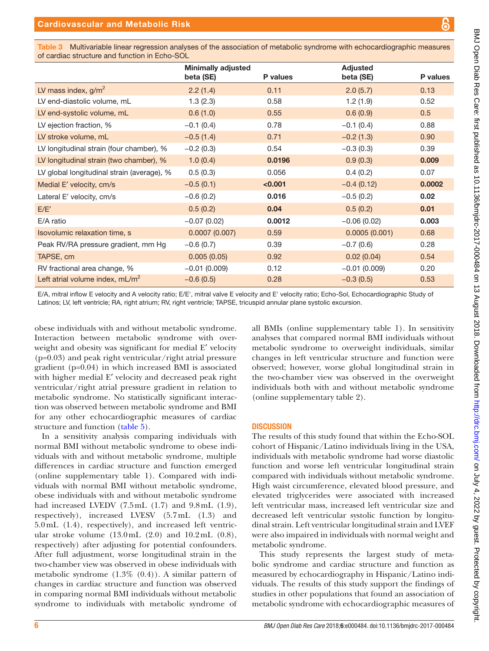<span id="page-5-0"></span>Table 3 Multivariable linear regression analyses of the association of metabolic syndrome with echocardiographic measures of cardiac structure and function in Echo-SOL

|                                            | <b>Minimally adjusted</b><br>beta (SE) | P values | <b>Adjusted</b><br>beta (SE) | P values |
|--------------------------------------------|----------------------------------------|----------|------------------------------|----------|
| LV mass index, $g/m^2$                     | 2.2(1.4)                               | 0.11     | 2.0(5.7)                     | 0.13     |
| LV end-diastolic volume, mL                | 1.3(2.3)                               | 0.58     | 1.2(1.9)                     | 0.52     |
| LV end-systolic volume, mL                 | 0.6(1.0)                               | 0.55     | 0.6(0.9)                     | 0.5      |
| LV ejection fraction, %                    | $-0.1(0.4)$                            | 0.78     | $-0.1(0.4)$                  | 0.88     |
| LV stroke volume, mL                       | $-0.5(1.4)$                            | 0.71     | $-0.2(1.3)$                  | 0.90     |
| LV longitudinal strain (four chamber), %   | $-0.2(0.3)$                            | 0.54     | $-0.3(0.3)$                  | 0.39     |
| LV longitudinal strain (two chamber), %    | 1.0(0.4)                               | 0.0196   | 0.9(0.3)                     | 0.009    |
| LV global longitudinal strain (average), % | 0.5(0.3)                               | 0.056    | 0.4(0.2)                     | 0.07     |
| Medial E' velocity, cm/s                   | $-0.5(0.1)$                            | < 0.001  | $-0.4(0.12)$                 | 0.0002   |
| Lateral E' velocity, cm/s                  | $-0.6(0.2)$                            | 0.016    | $-0.5(0.2)$                  | 0.02     |
| E/E'                                       | 0.5(0.2)                               | 0.04     | 0.5(0.2)                     | 0.01     |
| E/A ratio                                  | $-0.07(0.02)$                          | 0.0012   | $-0.06(0.02)$                | 0.003    |
| Isovolumic relaxation time, s              | 0.0007(0.007)                          | 0.59     | 0.0005(0.001)                | 0.68     |
| Peak RV/RA pressure gradient, mm Hg        | $-0.6(0.7)$                            | 0.39     | $-0.7(0.6)$                  | 0.28     |
| TAPSE, cm                                  | 0.005(0.05)                            | 0.92     | 0.02(0.04)                   | 0.54     |
| RV fractional area change, %               | $-0.01(0.009)$                         | 0.12     | $-0.01(0.009)$               | 0.20     |
| Left atrial volume index, $mL/m^2$         | $-0.6(0.5)$                            | 0.28     | $-0.3(0.5)$                  | 0.53     |

E/A, mitral inflow E velocity and A velocity ratio; E/E', mitral valve E velocity and E' velocity ratio; Echo-Sol, Echocardiographic Study of Latinos; LV, left ventricle; RA, right atrium; RV, right ventricle; TAPSE, tricuspid annular plane systolic excursion.

obese individuals with and without metabolic syndrome. Interaction between metabolic syndrome with overweight and obesity was significant for medial E′ velocity  $(p=0.03)$  and peak right ventricular/right atrial pressure gradient (p=0.04) in which increased BMI is associated with higher medial E′ velocity and decreased peak right ventricular/right atrial pressure gradient in relation to metabolic syndrome. No statistically significant interaction was observed between metabolic syndrome and BMI for any other echocardiographic measures of cardiac structure and function [\(table](#page-6-1) 5).

In a sensitivity analysis comparing individuals with normal BMI without metabolic syndrome to obese individuals with and without metabolic syndrome, multiple differences in cardiac structure and function emerged (online [supplementary table 1](https://dx.doi.org/10.1136/bmjdrc-2017-000484)). Compared with individuals with normal BMI without metabolic syndrome, obese individuals with and without metabolic syndrome had increased LVEDV (7.5mL (1.7) and 9.8mL (1.9), respectively), increased LVESV (5.7mL (1.3) and 5.0mL (1.4), respectively), and increased left ventricular stroke volume (13.0mL (2.0) and 10.2mL (0.8), respectively) after adjusting for potential confounders. After full adjustment, worse longitudinal strain in the two-chamber view was observed in obese individuals with metabolic syndrome  $(1.3\% (0.4))$ . A similar pattern of changes in cardiac structure and function was observed in comparing normal BMI individuals without metabolic syndrome to individuals with metabolic syndrome of all BMIs (online [supplementary table 1](https://dx.doi.org/10.1136/bmjdrc-2017-000484)). In sensitivity analyses that compared normal BMI individuals without metabolic syndrome to overweight individuals, similar changes in left ventricular structure and function were observed; however, worse global longitudinal strain in the two-chamber view was observed in the overweight individuals both with and without metabolic syndrome (online [supplementary table 2\)](https://dx.doi.org/10.1136/bmjdrc-2017-000484).

#### **DISCUSSION**

The results of this study found that within the Echo-SOL cohort of Hispanic/Latino individuals living in the USA, individuals with metabolic syndrome had worse diastolic function and worse left ventricular longitudinal strain compared with individuals without metabolic syndrome. High waist circumference, elevated blood pressure, and elevated triglycerides were associated with increased left ventricular mass, increased left ventricular size and decreased left ventricular systolic function by longitudinal strain. Left ventricular longitudinal strain and LVEF were also impaired in individuals with normal weight and metabolic syndrome.

This study represents the largest study of metabolic syndrome and cardiac structure and function as measured by echocardiography in Hispanic/Latino individuals. The results of this study support the findings of studies in other populations that found an association of metabolic syndrome with echocardiographic measures of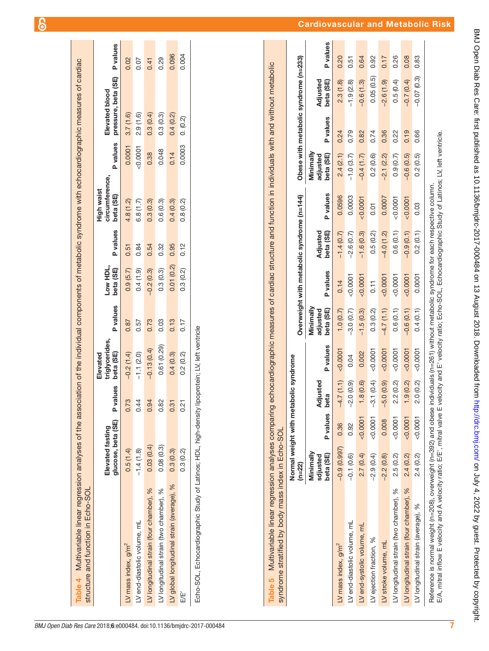<span id="page-6-0"></span>

| Table 4 Multivariable linear regression analyses of the association of the individual components of metabolic syndrome with echocardiographic measures of cardiac<br>structure and function in Echo-SOL |                                        |               |                                         |          |                       |          |                                           |          |                                                |       |
|---------------------------------------------------------------------------------------------------------------------------------------------------------------------------------------------------------|----------------------------------------|---------------|-----------------------------------------|----------|-----------------------|----------|-------------------------------------------|----------|------------------------------------------------|-------|
|                                                                                                                                                                                                         | glucose, beta (SE)<br>Elevated fasting | values<br>هٔ  | triglycerides,<br>beta (SE)<br>Elevated | P values | Low HDL,<br>beta (SE) | P values | circumference,<br>High waist<br>beta (SE) | P values | pressure, beta (SE) P values<br>Elevated blood |       |
| LV mass index, $g/m^2$                                                                                                                                                                                  | 0.5(1.4)                               | ဇ္ဇာ          | $-0.2(1.4)$                             | 0.87     | 0.9(5.7)              | 0.51     | 4.8(1.2)                                  |          | $0.0001$ $3.7(1.6)$                            | 0.02  |
| LV end-diastolic volume, mL                                                                                                                                                                             | $-1.4(1.8)$                            | 4<br>24       | $-1.1(2.0)$                             | 0.57     | 0.4(1.9)              | 0.84     | 6.8(1.7)                                  | 0.0007   | 2.9(1.6)                                       | 0.07  |
| LV longitudinal strain (four chamber), %                                                                                                                                                                | 0.03(0.4)                              | 0.94          | $-0.13(0.4)$                            | 0.73     | $-0.2(0.3)$           | 0.54     | 0.3(0.3)                                  | 0.38     | 0.3(0.4)                                       | 0.41  |
| LV longitudinal strain (two chamber), %                                                                                                                                                                 | 0.08(0.3)                              | 0.82          | 0.61(0.29)                              | 0.03     | 0.3(0.3)              | 0.32     | 0.6(0.3)                                  | 0.048    | 0.3(0.3)                                       | 0.29  |
| LV global longitudinal strain (average), %                                                                                                                                                              | 0.3(0.3)                               | 0.3           | 0.4(0.3)                                | 0.13     | 0.01(0.2)             | 0.95     | 0.4(0.3)                                  | 0.14     | 0.4(0.2)                                       | 0.096 |
| E/E'                                                                                                                                                                                                    | 0.3(0.2)                               | $\frac{2}{5}$ | 0.2(0.2)                                | 0.17     | 0.3(0.2)              | 0.12     | 0.8(0.2)                                  | 0.0003   | 0. (0.2)                                       | 0.004 |
| Echo-SOL, Echocardiographic Study of Latinos; HDL, high-density lipoprotein; LV, left ventricle                                                                                                         |                                        |               |                                         |          |                       |          |                                           |          |                                                |       |

<span id="page-6-1"></span>

| nic measures of cardiac structure and function in individuals with and without mata.                           |                                                                                                                                                                                                                                |
|----------------------------------------------------------------------------------------------------------------|--------------------------------------------------------------------------------------------------------------------------------------------------------------------------------------------------------------------------------|
|                                                                                                                |                                                                                                                                                                                                                                |
| <b>- האמר</b><br>.<br>2<br>2                                                                                   | has a complete the second contract of the complete state of the complete state of the complete state of the complete state of the complete state of the complete state of the complete state of the complete state of the comp |
| Table 5 Multivariable linear regression analyses compan-<br>syndrome stratified by body mass index in Echo-SOL |                                                                                                                                                                                                                                |
|                                                                                                                |                                                                                                                                                                                                                                |

|                                                                  | Normal weight with metabolic syndrome |          |                      |          |                       |          |                                                                            |          |                       |          |                                       |          |
|------------------------------------------------------------------|---------------------------------------|----------|----------------------|----------|-----------------------|----------|----------------------------------------------------------------------------|----------|-----------------------|----------|---------------------------------------|----------|
|                                                                  | $(n=22)$                              |          |                      |          |                       |          | Overweight with metabolic syndrome (n=144)                                 |          |                       |          | Obese with metabolic syndrome (n=233) |          |
|                                                                  | Minimally<br>sdjusted                 |          | Adjusted             |          | Minimally<br>adjusted |          | Adjusted                                                                   |          | Minimally<br>adjusted |          | Adjusted                              |          |
|                                                                  | beta (SE)                             | P values | beta                 | P values | beta (SE)             | P values | beta (SE)                                                                  | P values | beta (SE)             | P values | beta (SE)                             | P values |
| LV mass index, $g/m^2$                                           | $-0.9(0.997)$ 0.36                    |          | $-4.7(1.1) < 0.0001$ |          | 1.0(0.7)              | 0.14     | $-1.4(0.7)$                                                                | 0.0596   | 2.4(2.1)              | 0.24     | 2.3(1.8)                              | 0.20     |
| LV end-diastolic volume, mL                                      | $-0.1(0.6)$                           | 0.92     | $-2.0(0.9)$          | 0.04     | $-3.0(0.7)$           | 0.0001   | $-2.6(0.7)$                                                                | 0.0003   | $-1.0(3.7)$           | 0.79     | $-1.9(2.8)$                           | 0.51     |
| LV end-systolic volume, mL                                       | 2.7(0.4)                              | < 0.0001 | 1.8(0.6)             | 0.002    | $-1.5(0.3)$           | < 0.0001 | $-1.6(0.3)$                                                                | < 0.0001 | $-0.4(1.7)$           | 0.82     | $-0.6(1.3)$                           | 0.64     |
| LV ejection fraction, %                                          | $-2.9(0.4)$                           | 0.0001   | $-3.1(0.4)$          | 0.0001   | 0.3(0.2)              | 0.11     | 0.5(0.2)                                                                   | 0.01     | 0.2(0.6)              | 0.74     | 0.05(0.5)                             | 0.92     |
| LV stroke volume, mL                                             | $-2.2(0.8)$                           | 0.008    | $-5.0(0.9)$          | 0.0001   | $-4.7(1.1)$           | 0.0001   | $-4.0(1.2)$                                                                | 0.0007   | $-2.1(2.2)$           | 0.36     | $-2.6(1.9)$                           | 0.17     |
| LV longitudinal strain (two chamber), %                          | 2.5(0.2)                              | 0.0001   | 2.2(0.2)             | 0.0001   | 0.6(0.1)              | 0.0001   | 0.6(0.1)                                                                   | 0.0001   | 0.9(0.7)              | 0.22     | 0.5(0.4)                              | 0.26     |
| LV longitudinal strain (four chamber), %                         | 2.4(0.2)                              | 0.0001   | 1.9(0.2)             | 0.0001   | $-0.6(0.1)$           | 0.0001   | $-0.9(0.1)$                                                                | 0.0001   | $-0.6(0.5)$           | 0.19     | $-0.7(0.4)$                           | 0.08     |
| LV longitudinal strain (average), %                              | 2.4(0.2)                              | 0.0001   | 2.0(0.2)             | 0.0001   | 0.4(0.1)              | 0.0001   | 0.2(0.1)                                                                   | 0.03     | 0.2(0.5)              | 0.66     | $-0.07(0.3)$                          | 0.83     |
| Reference is normal weight (n=208), overweight (n=392) and obese |                                       |          |                      |          |                       |          | individuals (n=261) without metabolic syndrome for each respective column. |          |                       |          |                                       |          |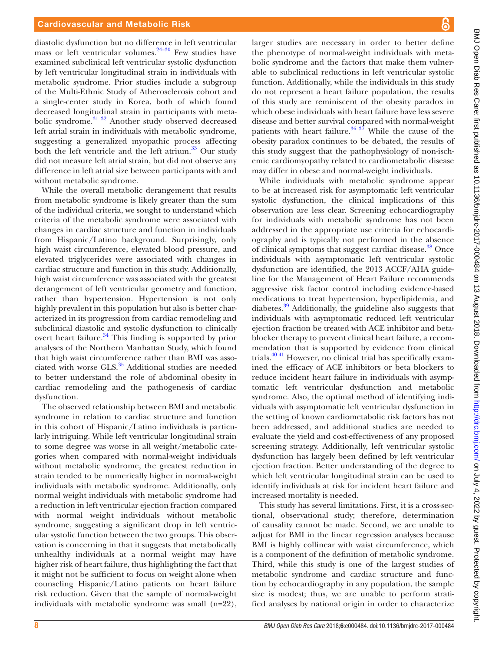diastolic dysfunction but no difference in left ventricular mass or left ventricular volumes. $24-30$  Few studies have examined subclinical left ventricular systolic dysfunction by left ventricular longitudinal strain in individuals with metabolic syndrome. Prior studies include a subgroup of the Multi-Ethnic Study of Atherosclerosis cohort and a single-center study in Korea, both of which found decreased longitudinal strain in participants with metabolic syndrome.<sup>31 32</sup> Another study observed decreased left atrial strain in individuals with metabolic syndrome, suggesting a generalized myopathic process affecting both the left ventricle and the left atrium.<sup>33</sup> Our study did not measure left atrial strain, but did not observe any difference in left atrial size between participants with and without metabolic syndrome.

While the overall metabolic derangement that results from metabolic syndrome is likely greater than the sum of the individual criteria, we sought to understand which criteria of the metabolic syndrome were associated with changes in cardiac structure and function in individuals from Hispanic/Latino background. Surprisingly, only high waist circumference, elevated blood pressure, and elevated triglycerides were associated with changes in cardiac structure and function in this study. Additionally, high waist circumference was associated with the greatest derangement of left ventricular geometry and function, rather than hypertension. Hypertension is not only highly prevalent in this population but also is better characterized in its progression from cardiac remodeling and subclinical diastolic and systolic dysfunction to clinically overt heart failure.<sup>[34](#page-9-7)</sup> This finding is supported by prior analyses of the Northern Manhattan Study, which found that high waist circumference rather than BMI was associated with worse GLS.<sup>35</sup> Additional studies are needed to better understand the role of abdominal obesity in cardiac remodeling and the pathogenesis of cardiac dysfunction.

The observed relationship between BMI and metabolic syndrome in relation to cardiac structure and function in this cohort of Hispanic/Latino individuals is particularly intriguing. While left ventricular longitudinal strain to some degree was worse in all weight/metabolic categories when compared with normal-weight individuals without metabolic syndrome, the greatest reduction in strain tended to be numerically higher in normal-weight individuals with metabolic syndrome. Additionally, only normal weight individuals with metabolic syndrome had a reduction in left ventricular ejection fraction compared with normal weight individuals without metabolic syndrome, suggesting a significant drop in left ventricular systolic function between the two groups. This observation is concerning in that it suggests that metabolically unhealthy individuals at a normal weight may have higher risk of heart failure, thus highlighting the fact that it might not be sufficient to focus on weight alone when counseling Hispanic/Latino patients on heart failure risk reduction. Given that the sample of normal-weight individuals with metabolic syndrome was small (n=22),

larger studies are necessary in order to better define the phenotype of normal-weight individuals with metabolic syndrome and the factors that make them vulnerable to subclinical reductions in left ventricular systolic function. Additionally, while the individuals in this study do not represent a heart failure population, the results of this study are reminiscent of the obesity paradox in which obese individuals with heart failure have less severe disease and better survival compared with normal-weight patients with heart failure.<sup>36 37</sup> While the cause of the obesity paradox continues to be debated, the results of this study suggest that the pathophysiology of non-ischemic cardiomyopathy related to cardiometabolic disease may differ in obese and normal-weight individuals.

While individuals with metabolic syndrome appear to be at increased risk for asymptomatic left ventricular systolic dysfunction, the clinical implications of this observation are less clear. Screening echocardiography for individuals with metabolic syndrome has not been addressed in the appropriate use criteria for echocardiography and is typically not performed in the absence of clinical symptoms that suggest cardiac disease.<sup>38</sup> Once individuals with asymptomatic left ventricular systolic dysfunction are identified, the 2013 ACCF/AHA guideline for the Management of Heart Failure recommends aggressive risk factor control including evidence-based medications to treat hypertension, hyperlipidemia, and diabetes.<sup>39</sup> Additionally, the guideline also suggests that individuals with asymptomatic reduced left ventricular ejection fraction be treated with ACE inhibitor and betablocker therapy to prevent clinical heart failure, a recommendation that is supported by evidence from clinical trials.[40 41](#page-9-12) However, no clinical trial has specifically examined the efficacy of ACE inhibitors or beta blockers to reduce incident heart failure in individuals with asymptomatic left ventricular dysfunction and metabolic syndrome. Also, the optimal method of identifying individuals with asymptomatic left ventricular dysfunction in the setting of known cardiometabolic risk factors has not been addressed, and additional studies are needed to evaluate the yield and cost-effectiveness of any proposed screening strategy. Additionally, left ventricular systolic dysfunction has largely been defined by left ventricular ejection fraction. Better understanding of the degree to which left ventricular longitudinal strain can be used to identify individuals at risk for incident heart failure and increased mortality is needed.

This study has several limitations. First, it is a cross-sectional, observational study; therefore, determination of causality cannot be made. Second, we are unable to adjust for BMI in the linear regression analyses because BMI is highly collinear with waist circumference, which is a component of the definition of metabolic syndrome. Third, while this study is one of the largest studies of metabolic syndrome and cardiac structure and function by echocardiography in any population, the sample size is modest; thus, we are unable to perform stratified analyses by national origin in order to characterize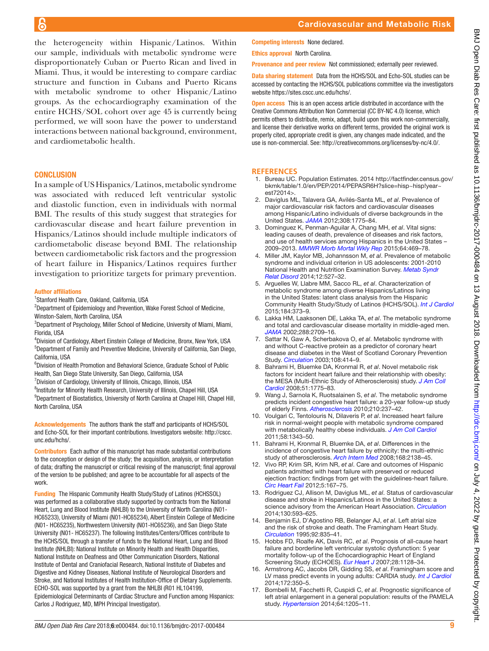## Cardiovascular and Metabolic Risk

В

the heterogeneity within Hispanic/Latinos. Within our sample, individuals with metabolic syndrome were disproportionately Cuban or Puerto Rican and lived in Miami. Thus, it would be interesting to compare cardiac structure and function in Cubans and Puerto Ricans with metabolic syndrome to other Hispanic/Latino groups. As the echocardiography examination of the entire HCHS/SOL cohort over age 45 is currently being performed, we will soon have the power to understand interactions between national background, environment, and cardiometabolic health.

#### **CONCLUSION**

In a sample of US Hispanics/Latinos, metabolic syndrome was associated with reduced left ventricular systolic and diastolic function, even in individuals with normal BMI. The results of this study suggest that strategies for cardiovascular disease and heart failure prevention in Hispanics/Latinos should include multiple indicators of cardiometabolic disease beyond BMI. The relationship between cardiometabolic risk factors and the progression of heart failure in Hispanics/Latinos requires further investigation to prioritize targets for primary prevention.

#### Author affiliations

1 Stanford Health Care, Oakland, California, USA

<sup>2</sup>Department of Epidemiology and Prevention, Wake Forest School of Medicine, Winston-Salem, North Carolina, USA

<sup>3</sup>Department of Psychology, Miller School of Medicine, University of Miami, Miami, Florida, USA

4 Division of Cardiology, Albert Einstein College of Medicine, Bronx, New York, USA 5 Department of Family and Preventive Medicine, University of California, San Diego, California, USA

<sup>6</sup>Division of Health Promotion and Behavioral Science, Graduate School of Public Health, San Diego State University, San Diego, California, USA

<sup>7</sup> Division of Cardiology, University of Illinois, Chicago, Illinois, USA

<sup>8</sup>Institute for Minority Health Research, University of Illinois, Chapel Hill, USA <sup>9</sup>Department of Biostatistics, University of North Carolina at Chapel Hill, Chapel Hill, North Carolina, USA

Acknowledgements The authors thank the staff and participants of HCHS/SOL and Echo-SOL for their important contributions. Investigators website: [http://cscc.](http://cscc.unc.edu/hchs/) [unc.edu/hchs/](http://cscc.unc.edu/hchs/).

Contributors Each author of this manuscript has made substantial contributions to the conception or design of the study; the acquisition, analysis, or interpretation of data; drafting the manuscript or critical revising of the manuscript; final approval of the version to be published; and agree to be accountable for all aspects of the work.

Funding The Hispanic Community Health Study/Study of Latinos (HCHSSOL) was performed as a collaborative study supported by contracts from the National Heart, Lung and Blood Institute (NHLBI) to the University of North Carolina (N01- HC65233), University of Miami (N01-HC65234), Albert Einstein College of Medicine (N01- HC65235), Northwestern University (N01-HC65236), and San Diego State University (N01- HC65237). The following Institutes/Centers/Offices contribute to the HCHS/SOL through a transfer of funds to the National Heart, Lung and Blood Institute (NHLBI): National Institute on Minority Health and Health Disparities, National Institute on Deafness and Other Communication Disorders, National Institute of Dental and Craniofacial Research, National Institute of Diabetes and Digestive and Kidney Diseases, National Institute of Neurological Disorders and Stroke, and National Institutes of Health Institution-Office of Dietary Supplements. ECHO-SOL was supported by a grant from the NHLBI (R01 HL104199, Epidemiological Determinants of Cardiac Structure and Function among Hispanics: Carlos J Rodriguez, MD, MPH Principal Investigator).

Competing interests None declared.

Ethics approval North Carolina.

Provenance and peer review Not commissioned; externally peer reviewed.

Data sharing statement Data from the HCHS/SOL and Echo-SOL studies can be accessed by contacting the HCHS/SOL publications committee via the investigators website [https://sites.cscc.unc.edu/hchs/.](https://sites.cscc.unc.edu/hchs/)

**Open access** This is an open access article distributed in accordance with the Creative Commons Attribution Non Commercial (CC BY-NC 4.0) license, which permits others to distribute, remix, adapt, build upon this work non-commercially, and license their derivative works on different terms, provided the original work is properly cited, appropriate credit is given, any changes made indicated, and the use is non-commercial. See: <http://creativecommons.org/licenses/by-nc/4.0/>.

#### **References**

- <span id="page-8-0"></span>1. Bureau UC. Population Estimates. 2014 [http://factfinder.census.gov/](http://factfinder.census.gov/bkmk/table/1.0/en/PEP/2014/PEPASR6H?slice=hisp~hisp!year~est72014>) bkmk/table/1.0/en/PEP/2014/PEPASR6H?slice=hisp~hisp!year[est72014>](http://factfinder.census.gov/bkmk/table/1.0/en/PEP/2014/PEPASR6H?slice=hisp~hisp!year~est72014>).
- <span id="page-8-1"></span>2. Daviglus ML, Talavera GA, Avilés-Santa ML, *et al*. Prevalence of major cardiovascular risk factors and cardiovascular diseases among Hispanic/Latino individuals of diverse backgrounds in the United States. *[JAMA](http://dx.doi.org/10.1001/jama.2012.14517)* 2012;308:1775–84.
- <span id="page-8-7"></span>3. Dominguez K, Penman-Aguilar A, Chang MH, *et al*. Vital signs: leading causes of death, prevalence of diseases and risk factors, and use of health services among Hispanics in the United States – 2009–2013. *[MMWR Morb Mortal Wkly Rep](http://www.ncbi.nlm.nih.gov/pubmed/25950254)* 2015;64:469–78.
- <span id="page-8-2"></span>4. Miller JM, Kaylor MB, Johannsson M, *et al*. Prevalence of metabolic syndrome and individual criterion in US adolescents: 2001-2010 National Health and Nutrition Examination Survey. *[Metab Syndr](http://dx.doi.org/10.1089/met.2014.0055)  [Relat Disord](http://dx.doi.org/10.1089/met.2014.0055)* 2014;12:527–32.
- 5. Arguelles W, Llabre MM, Sacco RL, *et al*. Characterization of metabolic syndrome among diverse Hispanics/Latinos living in the United States: latent class analysis from the Hispanic Community Health Study/Study of Latinos (HCHS/SOL). *[Int J Cardiol](http://dx.doi.org/10.1016/j.ijcard.2015.02.100)* 2015;184:373–9.
- <span id="page-8-3"></span>6. Lakka HM, Laaksonen DE, Lakka TA, *et al*. The metabolic syndrome and total and cardiovascular disease mortality in middle-aged men. *[JAMA](http://dx.doi.org/10.1001/jama.288.21.2709)* 2002;288:2709–16.
- 7. Sattar N, Gaw A, Scherbakova O, *et al*. Metabolic syndrome with and without C-reactive protein as a predictor of coronary heart disease and diabetes in the West of Scotland Coronary Prevention Study. *[Circulation](http://dx.doi.org/10.1161/01.CIR.0000080897.52664.94)* 2003;108:414–9.
- 8. Bahrami H, Bluemke DA, Kronmal R, *et al*. Novel metabolic risk factors for incident heart failure and their relationship with obesity: the MESA (Multi-Ethnic Study of Atherosclerosis) study. *[J Am Coll](http://dx.doi.org/10.1016/j.jacc.2007.12.048)  [Cardiol](http://dx.doi.org/10.1016/j.jacc.2007.12.048)* 2008;51:1775–83.
- 9. Wang J, Sarnola K, Ruotsalainen S, *et al*. The metabolic syndrome predicts incident congestive heart failure: a 20-year follow-up study of elderly Finns. *[Atherosclerosis](http://dx.doi.org/10.1016/j.atherosclerosis.2009.10.042)* 2010;210:237–42.
- <span id="page-8-4"></span>10. Voulgari C, Tentolouris N, Dilaveris P, *et al*. Increased heart failure risk in normal-weight people with metabolic syndrome compared with metabolically healthy obese individuals. *[J Am Coll Cardiol](http://dx.doi.org/10.1016/j.jacc.2011.04.047)* 2011;58:1343–50.
- <span id="page-8-5"></span>11. Bahrami H, Kronmal R, Bluemke DA, *et al*. Differences in the incidence of congestive heart failure by ethnicity: the multi-ethnic study of atherosclerosis. *[Arch Intern Med](http://dx.doi.org/10.1001/archinte.168.19.2138)* 2008;168:2138–45.
- 12. Vivo RP, Krim SR, Krim NR, *et al*. Care and outcomes of Hispanic patients admitted with heart failure with preserved or reduced ejection fraction: findings from get with the guidelines-heart failure. *[Circ Heart Fail](http://dx.doi.org/10.1161/CIRCHEARTFAILURE.111.963546)* 2012;5:167–75.
- 13. Rodriguez CJ, Allison M, Daviglus ML, *et al*. Status of cardiovascular disease and stroke in Hispanics/Latinos in the United States: a science advisory from the American Heart Association. *[Circulation](http://dx.doi.org/10.1161/CIR.0000000000000071)* 2014;130:593–625.
- <span id="page-8-6"></span>14. Benjamin EJ, D'Agostino RB, Belanger AJ, *et al*. Left atrial size and the risk of stroke and death. The Framingham Heart Study. *[Circulation](http://dx.doi.org/10.1161/01.CIR.92.4.835)* 1995;92:835–41.
- 15. Hobbs FD, Roalfe AK, Davis RC, *et al*. Prognosis of all-cause heart failure and borderline left ventricular systolic dysfunction: 5 year mortality follow-up of the Echocardiographic Heart of England Screening Study (ECHOES). *[Eur Heart J](http://dx.doi.org/10.1093/eurheartj/ehm102)* 2007;28:1128–34.
- 16. Armstrong AC, Jacobs DR, Gidding SS, *et al*. Framingham score and LV mass predict events in young adults: CARDIA study. *[Int J Cardiol](http://dx.doi.org/10.1016/j.ijcard.2014.01.003)* 2014;172:350–5.
- 17. Bombelli M, Facchetti R, Cuspidi C, *et al*. Prognostic significance of left atrial enlargement in a general population: results of the PAMELA study. *[Hypertension](http://dx.doi.org/10.1161/HYPERTENSIONAHA.114.03975)* 2014;64:1205–11.